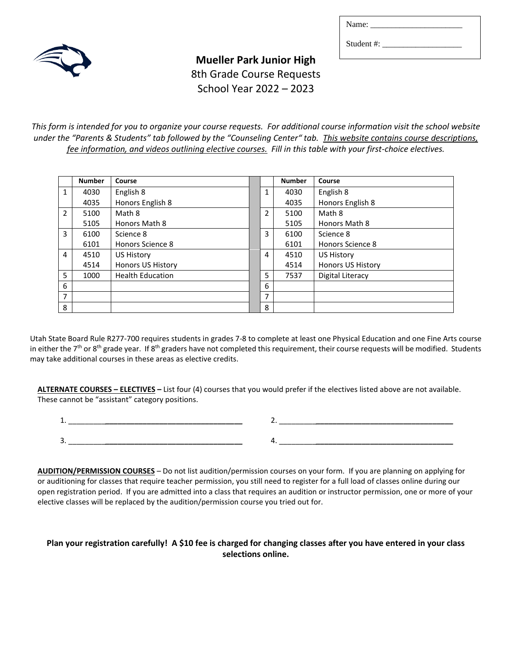| Name: |  |  |  |
|-------|--|--|--|
|       |  |  |  |

Student #:

**Mueller Park Junior High** 8th Grade Course Requests School Year 2022 – 2023

*This form is intended for you to organize your course requests. For additional course information visit the school website under the "Parents & Students" tab followed by the "Counseling Center" tab. This website contains course descriptions, fee information, and videos outlining elective courses. Fill in this table with your first-choice electives.*

|                | <b>Number</b> | Course                   |   | <b>Number</b> | Course                   |
|----------------|---------------|--------------------------|---|---------------|--------------------------|
| $\mathbf{1}$   | 4030          | English 8                | 1 | 4030          | English 8                |
|                | 4035          | Honors English 8         |   | 4035          | Honors English 8         |
| $\overline{2}$ | 5100          | Math 8                   | 2 | 5100          | Math 8                   |
|                | 5105          | Honors Math 8            |   | 5105          | Honors Math 8            |
| 3              | 6100          | Science 8                | 3 | 6100          | Science 8                |
|                | 6101          | Honors Science 8         |   | 6101          | Honors Science 8         |
| 4              | 4510          | US History               | 4 | 4510          | <b>US History</b>        |
|                | 4514          | <b>Honors US History</b> |   | 4514          | <b>Honors US History</b> |
| 5              | 1000          | <b>Health Education</b>  | 5 | 7537          | Digital Literacy         |
| 6              |               |                          | 6 |               |                          |
| $\overline{7}$ |               |                          | 7 |               |                          |
| 8              |               |                          | 8 |               |                          |

Utah State Board Rule R277-700 requires students in grades 7-8 to complete at least one Physical Education and one Fine Arts course in either the  $7<sup>th</sup>$  or  $8<sup>th</sup>$  grade year. If  $8<sup>th</sup>$  graders have not completed this requirement, their course requests will be modified. Students may take additional courses in these areas as elective credits.

**ALTERNATE COURSES – ELECTIVES –** List four (4) courses that you would prefer if the electives listed above are not available. These cannot be "assistant" category positions.

1. \_\_\_\_\_\_\_\_\_*\_\_\_\_\_\_\_\_\_\_\_\_\_\_\_\_\_\_\_\_\_\_\_\_\_\_\_\_\_\_\_\_\_* 2. \_\_\_\_\_\_\_\_\_*\_\_\_\_\_\_\_\_\_\_\_\_\_\_\_\_\_\_\_\_\_\_\_\_\_\_\_\_\_\_\_\_\_* 3. \_\_\_\_\_\_\_\_\_*\_\_\_\_\_\_\_\_\_\_\_\_\_\_\_\_\_\_\_\_\_\_\_\_\_\_\_\_\_\_\_\_\_* 4. \_\_\_\_\_\_\_\_\_*\_\_\_\_\_\_\_\_\_\_\_\_\_\_\_\_\_\_\_\_\_\_\_\_\_\_\_\_\_\_\_\_\_*

**AUDITION/PERMISSION COURSES** – Do not list audition/permission courses on your form. If you are planning on applying for or auditioning for classes that require teacher permission, you still need to register for a full load of classes online during our open registration period. If you are admitted into a class that requires an audition or instructor permission, one or more of your elective classes will be replaced by the audition/permission course you tried out for.

# **Plan your registration carefully! A \$10 fee is charged for changing classes after you have entered in your class selections online.**